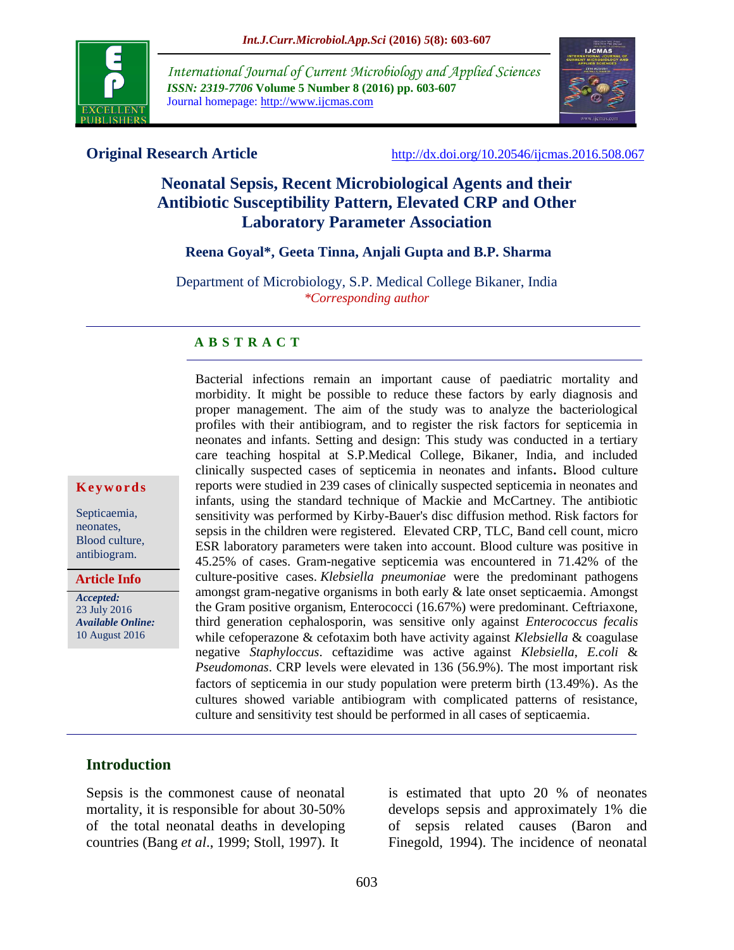

*International Journal of Current Microbiology and Applied Sciences ISSN: 2319-7706* **Volume 5 Number 8 (2016) pp. 603-607** Journal homepage: http://www.ijcmas.com



**Original Research Article** <http://dx.doi.org/10.20546/ijcmas.2016.508.067>

# **Neonatal Sepsis, Recent Microbiological Agents and their Antibiotic Susceptibility Pattern, Elevated CRP and Other Laboratory Parameter Association**

## **Reena Goyal\*, Geeta Tinna, Anjali Gupta and B.P. Sharma**

Department of Microbiology, S.P. Medical College Bikaner, India *\*Corresponding author*

#### **A B S T R A C T**

Bacterial infections remain an important cause of paediatric mortality and morbidity. It might be possible to reduce these factors by early diagnosis and proper management. The aim of the study was to analyze the bacteriological profiles with their antibiogram, and to register the risk factors for septicemia in neonates and infants. Setting and design: This study was conducted in a tertiary care teaching hospital at S.P.Medical College, Bikaner, India, and included clinically suspected cases of septicemia in neonates and infants**.** Blood culture reports were studied in 239 cases of clinically suspected septicemia in neonates and infants, using the standard technique of Mackie and McCartney. The antibiotic sensitivity was performed by Kirby-Bauer's disc diffusion method. Risk factors for sepsis in the children were registered.Elevated CRP, TLC, Band cell count, micro ESR laboratory parameters were taken into account. Blood culture was positive in 45.25% of cases. Gram-negative septicemia was encountered in 71.42% of the culture-positive cases. *Klebsiella pneumoniae* were the predominant pathogens amongst gram-negative organisms in both early & late onset septicaemia. Amongst the Gram positive organism, Enterococci (16.67%) were predominant. Ceftriaxone, third generation cephalosporin, was sensitive only against *Enterococcus fecalis* while cefoperazone & cefotaxim both have activity against *Klebsiella* & coagulase negative *Staphyloccus*. ceftazidime was active against *Klebsiella*, *E.coli* & *Pseudomonas*. CRP levels were elevated in 136 (56.9%). The most important risk factors of septicemia in our study population were preterm birth (13.49%). As the cultures showed variable antibiogram with complicated patterns of resistance, culture and sensitivity test should be performed in all cases of septicaemia.

# **K e y w o r d s** Septicaemia,

neonates, Blood culture, antibiogram.

**Article Info**

*Accepted:*  23 July 2016 *Available Online:* 10 August 2016

#### **Introduction**

Sepsis is the commonest cause of neonatal mortality, it is responsible for about 30-50% of the total neonatal deaths in developing countries (Bang *et al*., 1999; Stoll, 1997). It

is estimated that upto 20 % of neonates develops sepsis and approximately 1% die of sepsis related causes (Baron and Finegold, 1994). The incidence of neonatal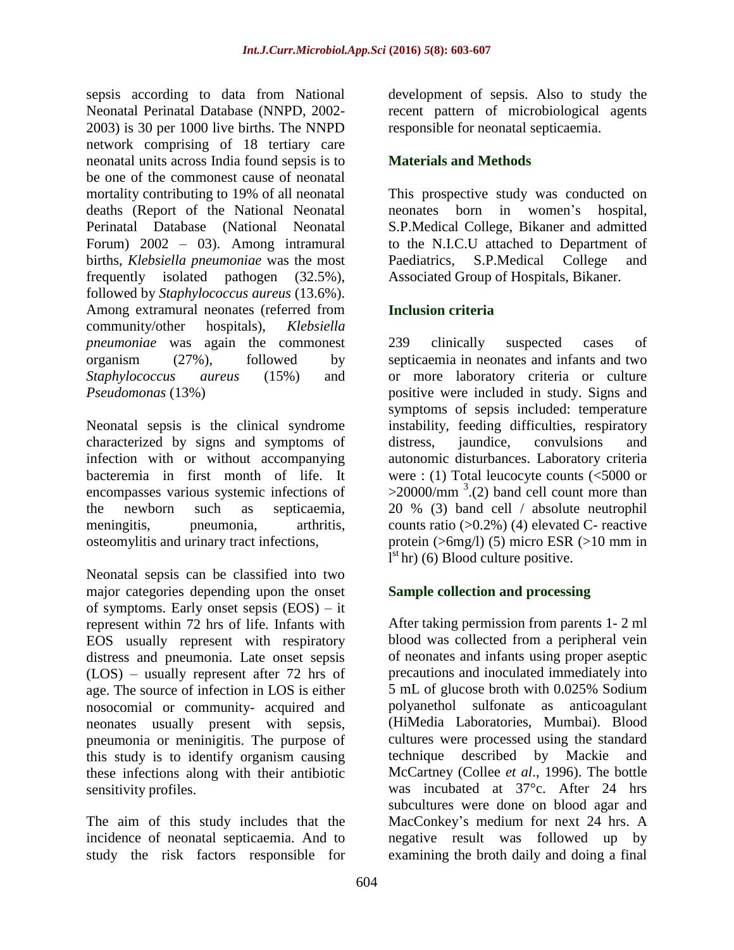sepsis according to data from National Neonatal Perinatal Database (NNPD, 2002- 2003) is 30 per 1000 live births. The NNPD network comprising of 18 tertiary care neonatal units across India found sepsis is to be one of the commonest cause of neonatal mortality contributing to 19% of all neonatal deaths (Report of the National Neonatal Perinatal Database (National Neonatal Forum) 2002 – 03). Among intramural births, *Klebsiella pneumoniae* was the most frequently isolated pathogen (32.5%), followed by *Staphylococcus aureus* (13.6%). Among extramural neonates (referred from community/other hospitals), *Klebsiella pneumoniae* was again the commonest organism (27%), followed by *Staphylococcus aureus* (15%) and *Pseudomonas* (13%)

Neonatal sepsis is the clinical syndrome characterized by signs and symptoms of infection with or without accompanying bacteremia in first month of life. It encompasses various systemic infections of the newborn such as septicaemia, meningitis, pneumonia, arthritis, osteomylitis and urinary tract infections,

Neonatal sepsis can be classified into two major categories depending upon the onset of symptoms. Early onset sepsis (EOS) – it represent within 72 hrs of life. Infants with EOS usually represent with respiratory distress and pneumonia. Late onset sepsis (LOS) – usually represent after 72 hrs of age. The source of infection in LOS is either nosocomial or community- acquired and neonates usually present with sepsis, pneumonia or meninigitis. The purpose of this study is to identify organism causing these infections along with their antibiotic sensitivity profiles.

The aim of this study includes that the incidence of neonatal septicaemia. And to study the risk factors responsible for

development of sepsis. Also to study the recent pattern of microbiological agents responsible for neonatal septicaemia.

# **Materials and Methods**

This prospective study was conducted on neonates born in women's hospital, S.P.Medical College, Bikaner and admitted to the N.I.C.U attached to Department of Paediatrics, S.P.Medical College and Associated Group of Hospitals, Bikaner.

# **Inclusion criteria**

239 clinically suspected cases of septicaemia in neonates and infants and two or more laboratory criteria or culture positive were included in study. Signs and symptoms of sepsis included: temperature instability, feeding difficulties, respiratory distress, jaundice, convulsions and autonomic disturbances. Laboratory criteria were : (1) Total leucocyte counts (<5000 or  $>$ 20000/mm<sup>3</sup>.(2) band cell count more than 20 % (3) band cell / absolute neutrophil counts ratio  $(0.2\%)$  (4) elevated C- reactive protein (>6mg/l) (5) micro ESR (>10 mm in  $I<sup>st</sup>$  hr) (6) Blood culture positive.

# **Sample collection and processing**

After taking permission from parents 1- 2 ml blood was collected from a peripheral vein of neonates and infants using proper aseptic precautions and inoculated immediately into 5 mL of glucose broth with 0.025% Sodium polyanethol sulfonate as anticoagulant (HiMedia Laboratories, Mumbai). Blood cultures were processed using the standard technique described by Mackie and McCartney (Collee *et al*., 1996). The bottle was incubated at 37°c. After 24 hrs subcultures were done on blood agar and MacConkey's medium for next 24 hrs. A negative result was followed up by examining the broth daily and doing a final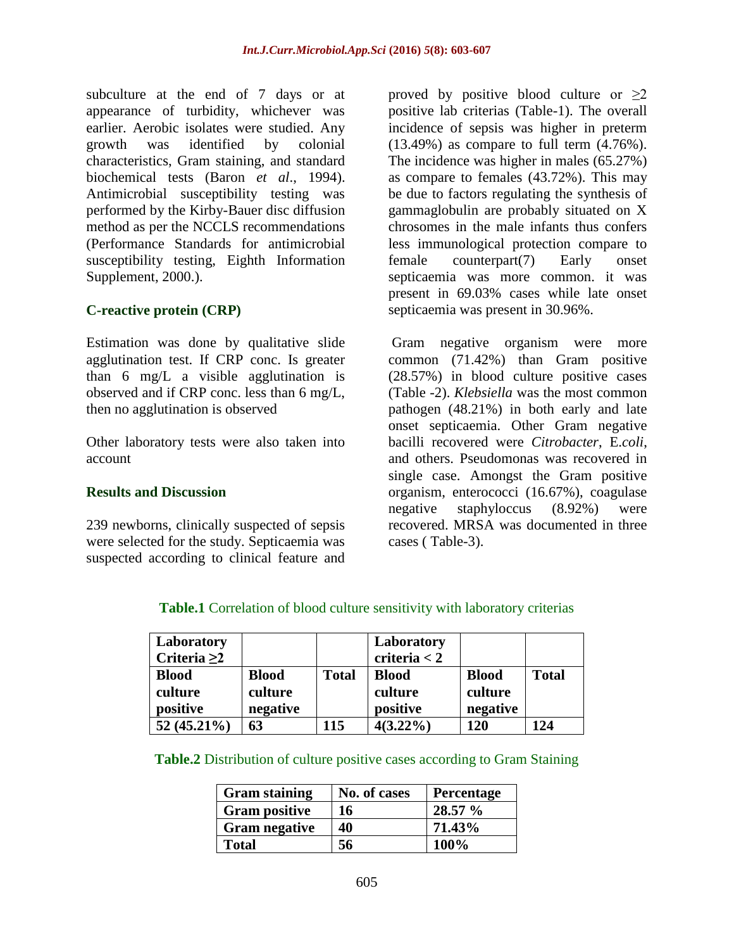subculture at the end of 7 days or at appearance of turbidity, whichever was earlier. Aerobic isolates were studied. Any growth was identified by colonial characteristics, Gram staining, and standard biochemical tests (Baron *et al*., 1994). Antimicrobial susceptibility testing was performed by the Kirby-Bauer disc diffusion method as per the NCCLS recommendations (Performance Standards for antimicrobial susceptibility testing, Eighth Information Supplement, 2000.).

# **C-reactive protein (CRP)**

Estimation was done by qualitative slide agglutination test. If CRP conc. Is greater than 6 mg/L a visible agglutination is observed and if CRP conc. less than 6 mg/L, then no agglutination is observed

Other laboratory tests were also taken into account

## **Results and Discussion**

239 newborns, clinically suspected of sepsis were selected for the study. Septicaemia was suspected according to clinical feature and proved by positive blood culture or  $\geq 2$ positive lab criterias (Table-1). The overall incidence of sepsis was higher in preterm  $(13.49\%)$  as compare to full term  $(4.76\%)$ . The incidence was higher in males (65.27%) as compare to females (43.72%). This may be due to factors regulating the synthesis of gammaglobulin are probably situated on X chrosomes in the male infants thus confers less immunological protection compare to female counterpart(7) Early onset septicaemia was more common. it was present in 69.03% cases while late onset septicaemia was present in 30.96%.

Gram negative organism were more common (71.42%) than Gram positive (28.57%) in blood culture positive cases (Table -2). *Klebsiella* was the most common pathogen (48.21%) in both early and late onset septicaemia. Other Gram negative bacilli recovered were *Citrobacter*, E.*coli*, and others. Pseudomonas was recovered in single case. Amongst the Gram positive organism, enterococci (16.67%), coagulase negative staphyloccus (8.92%) were recovered. MRSA was documented in three cases ( Table-3).

| Laboratory<br>Criteria $\geq 2$     |                                     |              | Laboratory<br>criteria $<$ 2        |                                     |              |
|-------------------------------------|-------------------------------------|--------------|-------------------------------------|-------------------------------------|--------------|
| <b>Blood</b><br>culture<br>positive | <b>Blood</b><br>culture<br>negative | <b>Total</b> | <b>Blood</b><br>culture<br>positive | <b>Blood</b><br>culture<br>negative | <b>Total</b> |
| $52(45.21\%)$                       | 63                                  | 115          | $4(3.22\%)$                         | 120                                 | 124          |

**Table.1** Correlation of blood culture sensitivity with laboratory criterias

**Table.2** Distribution of culture positive cases according to Gram Staining

| <b>Gram staining</b> | No. of cases | Percentage |
|----------------------|--------------|------------|
| <b>Gram positive</b> | 16           | 28.57 %    |
| <b>Gram negative</b> | 40           | 71.43%     |
| <b>Total</b>         | 56           | 100%       |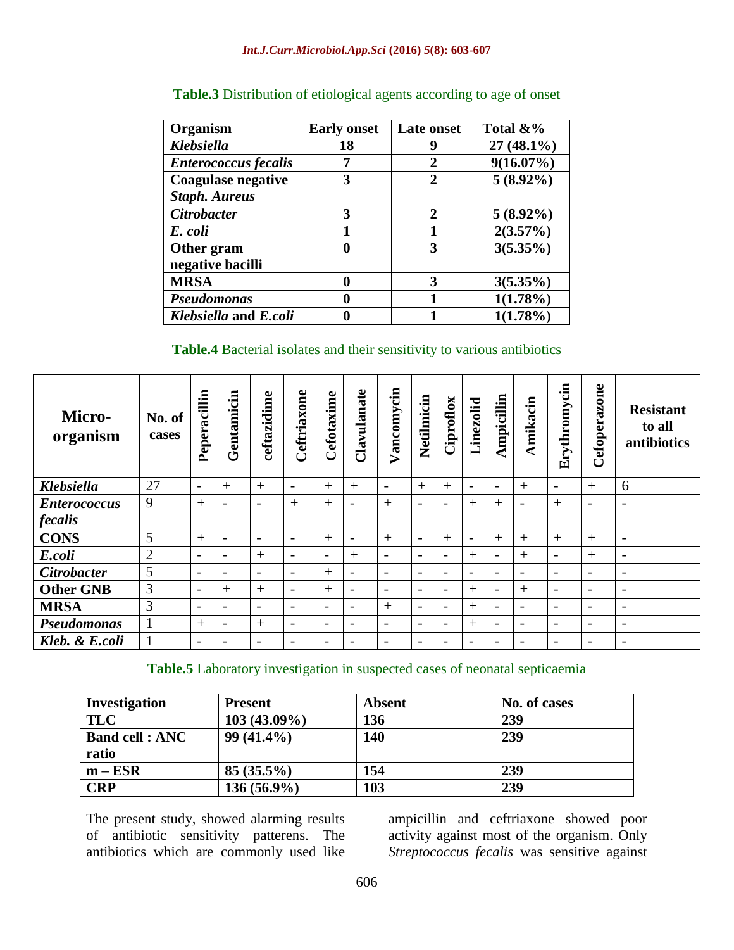| Organism                    | <b>Early onset</b> | Late onset   | Total &%     |
|-----------------------------|--------------------|--------------|--------------|
| <b>Klebsiella</b>           | 18                 | 9            | $27(48.1\%)$ |
| <b>Enterococcus fecalis</b> |                    | 2            | $9(16.07\%)$ |
| <b>Coagulase negative</b>   | 3                  | $\mathbf{2}$ | $5(8.92\%)$  |
| <b>Staph. Aureus</b>        |                    |              |              |
| <b>Citrobacter</b>          | 3                  | $\mathbf{2}$ | $5(8.92\%)$  |
| E. coli                     |                    |              | $2(3.57\%)$  |
| Other gram                  | 0                  | 3            | $3(5.35\%)$  |
| negative bacilli            |                    |              |              |
| <b>MRSA</b>                 | 0                  | 3            | $3(5.35\%)$  |
| <b>Pseudomonas</b>          |                    |              | $1(1.78\%)$  |
| Klebsiella and E.coli       |                    |              | 1(1.78%)     |

# **Table.3** Distribution of etiological agents according to age of onset

#### **Table.4** Bacterial isolates and their sensitivity to various antibiotics

| Micro-<br>organism  | No. of<br>cases | acillin<br>Peper:        | Gentamicin               | ceftazidime              | Ceftriaxone              | Cefotaxime               | Clavulanate              | Vancomycin               | Netilmicin               | Ciproflox                | Linezolid                | Ampicillin               | Amikacin                 | Erythromycin             | Cefoperazone             | <b>Resistant</b><br>to all<br>antibiotics |
|---------------------|-----------------|--------------------------|--------------------------|--------------------------|--------------------------|--------------------------|--------------------------|--------------------------|--------------------------|--------------------------|--------------------------|--------------------------|--------------------------|--------------------------|--------------------------|-------------------------------------------|
| <b>Klebsiella</b>   | 27              | $\overline{\phantom{a}}$ | $+$                      | $+$                      | $\overline{\phantom{a}}$ | $+$                      | $+$                      | $\overline{\phantom{a}}$ | $+$                      | $^{+}$                   | $\overline{\phantom{a}}$ | $\overline{\phantom{a}}$ | $^{+}$                   | $\overline{\phantom{a}}$ | $+$                      | 6                                         |
| <b>Enterococcus</b> | 9               | $^{+}$                   | $\overline{\phantom{a}}$ | $\overline{\phantom{0}}$ | $^{+}$                   | $^{+}$                   |                          | $+$                      | $\overline{\phantom{a}}$ | $\qquad \qquad$          | $^{+}$                   | $^{+}$                   |                          | $^{+}$                   | $\overline{\phantom{a}}$ | $\overline{\phantom{a}}$                  |
| fecalis             |                 |                          |                          |                          |                          |                          |                          |                          |                          |                          |                          |                          |                          |                          |                          |                                           |
| <b>CONS</b>         | 5               | $+$                      | $\overline{\phantom{a}}$ | $\qquad \qquad$          | $\overline{\phantom{0}}$ | $^{+}$                   | $\overline{\phantom{a}}$ | $+$                      | $\qquad \qquad$          | $^{+}$                   | $\overline{\phantom{a}}$ | $+$                      | $+$                      | $+$                      | $+$                      | $\overline{\phantom{a}}$                  |
| E.coli              | $\overline{2}$  | $\overline{\phantom{a}}$ | $\overline{\phantom{a}}$ | $^{+}$                   | $\overline{\phantom{0}}$ | $\overline{\phantom{a}}$ | $^{+}$                   | $\overline{a}$           | $\overline{\phantom{a}}$ | $\overline{\phantom{0}}$ | $^{+}$                   | $\overline{\phantom{a}}$ | $^{+}$                   | $\overline{\phantom{0}}$ | $+$                      | $\overline{\phantom{a}}$                  |
| <b>Citrobacter</b>  | 5               | $\overline{\phantom{a}}$ | $\overline{\phantom{a}}$ | $\overline{\phantom{0}}$ | $\overline{\phantom{0}}$ | $^{+}$                   | $\overline{\phantom{a}}$ | $\overline{\phantom{0}}$ | $\overline{\phantom{a}}$ | $\qquad \qquad$          | $\overline{\phantom{a}}$ | -                        | $\overline{\phantom{a}}$ | $\overline{\phantom{a}}$ | $\overline{\phantom{a}}$ | $\overline{\phantom{a}}$                  |
| <b>Other GNB</b>    | 3               | $\overline{\phantom{a}}$ | $+$                      | $^{+}$                   | $\overline{\phantom{0}}$ | $^{+}$                   | $\overline{a}$           | $\overline{a}$           | $\overline{\phantom{0}}$ | $\qquad \qquad$          | $+$                      | -                        | $^{+}$                   | $\overline{\phantom{a}}$ | $\overline{\phantom{a}}$ | $\overline{\phantom{a}}$                  |
| <b>MRSA</b>         | 3               | $\overline{\phantom{a}}$ | $\overline{\phantom{a}}$ | $\overline{\phantom{a}}$ | $\overline{\phantom{0}}$ | $\overline{\phantom{a}}$ | $\overline{\phantom{a}}$ | $+$                      | $\overline{\phantom{a}}$ | $\overline{\phantom{a}}$ | $+$                      | $\overline{\phantom{a}}$ | $\overline{\phantom{a}}$ | $\overline{\phantom{a}}$ | $\overline{\phantom{a}}$ | $\overline{\phantom{a}}$                  |
| Pseudomonas         | 1               | $+$                      | $\overline{\phantom{a}}$ | $^{+}$                   | $\overline{\phantom{a}}$ | $\overline{\phantom{a}}$ | $\overline{\phantom{0}}$ | $\overline{\phantom{0}}$ | $\overline{\phantom{a}}$ | $\qquad \qquad$          | $+$                      | -                        |                          | $\overline{\phantom{a}}$ | $\overline{\phantom{a}}$ | $\overline{\phantom{a}}$                  |
| Kleb. & E.coli      |                 | $\overline{\phantom{a}}$ | $\overline{\phantom{a}}$ | $\overline{\phantom{0}}$ |                          | $\overline{\phantom{a}}$ |                          | $\overline{\phantom{0}}$ | $\overline{\phantom{0}}$ | $\qquad \qquad$          | $\overline{\phantom{0}}$ | -                        |                          | $\overline{\phantom{0}}$ | $\overline{\phantom{a}}$ | $\overline{\phantom{a}}$                  |

## **Table.5** Laboratory investigation in suspected cases of neonatal septicaemia

| Investigation                   | <b>Present</b> | <b>Absent</b> | No. of cases |
|---------------------------------|----------------|---------------|--------------|
| <b>TLC</b>                      | $103(43.09\%)$ | 136           | 239          |
| <b>Band cell : ANC</b><br>ratio | $99(41.4\%)$   | 140           | 239          |
| $m - ESR$                       | $85(35.5\%)$   | 154           | 239          |
| <b>CRP</b>                      | $136(56.9\%)$  | 103           | 239          |

The present study, showed alarming results of antibiotic sensitivity patterens. The antibiotics which are commonly used like

ampicillin and ceftriaxone showed poor activity against most of the organism. Only *Streptococcus fecalis* was sensitive against